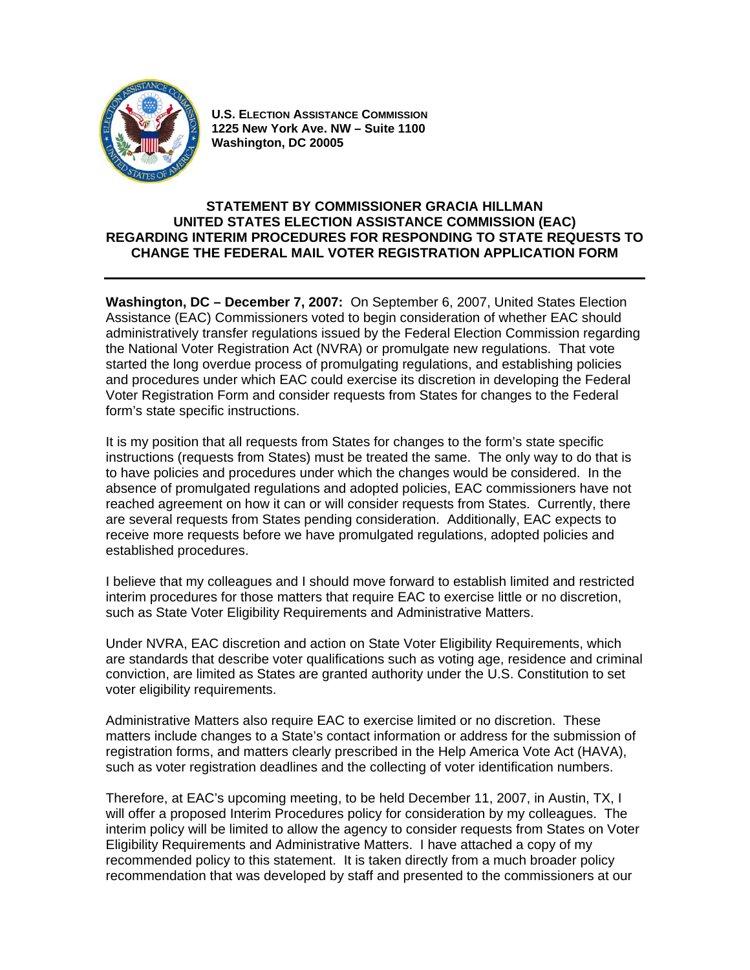

**U.S. ELECTION ASSISTANCE COMMISSION 1225 New York Ave. NW – Suite 1100 Washington, DC 20005**

## **STATEMENT BY COMMISSIONER GRACIA HILLMAN UNITED STATES ELECTION ASSISTANCE COMMISSION (EAC) REGARDING INTERIM PROCEDURES FOR RESPONDING TO STATE REQUESTS TO CHANGE THE FEDERAL MAIL VOTER REGISTRATION APPLICATION FORM**

**Washington, DC – December 7, 2007:** On September 6, 2007, United States Election Assistance (EAC) Commissioners voted to begin consideration of whether EAC should administratively transfer regulations issued by the Federal Election Commission regarding the National Voter Registration Act (NVRA) or promulgate new regulations. That vote started the long overdue process of promulgating regulations, and establishing policies and procedures under which EAC could exercise its discretion in developing the Federal Voter Registration Form and consider requests from States for changes to the Federal form's state specific instructions.

It is my position that all requests from States for changes to the form's state specific instructions (requests from States) must be treated the same. The only way to do that is to have policies and procedures under which the changes would be considered. In the absence of promulgated regulations and adopted policies, EAC commissioners have not reached agreement on how it can or will consider requests from States. Currently, there are several requests from States pending consideration. Additionally, EAC expects to receive more requests before we have promulgated regulations, adopted policies and established procedures.

I believe that my colleagues and I should move forward to establish limited and restricted interim procedures for those matters that require EAC to exercise little or no discretion, such as State Voter Eligibility Requirements and Administrative Matters.

Under NVRA, EAC discretion and action on State Voter Eligibility Requirements, which are standards that describe voter qualifications such as voting age, residence and criminal conviction, are limited as States are granted authority under the U.S. Constitution to set voter eligibility requirements.

Administrative Matters also require EAC to exercise limited or no discretion. These matters include changes to a State's contact information or address for the submission of registration forms, and matters clearly prescribed in the Help America Vote Act (HAVA), such as voter registration deadlines and the collecting of voter identification numbers.

Therefore, at EAC's upcoming meeting, to be held December 11, 2007, in Austin, TX, I will offer a proposed Interim Procedures policy for consideration by my colleagues. The interim policy will be limited to allow the agency to consider requests from States on Voter Eligibility Requirements and Administrative Matters. I have attached a copy of my recommended policy to this statement. It is taken directly from a much broader policy recommendation that was developed by staff and presented to the commissioners at our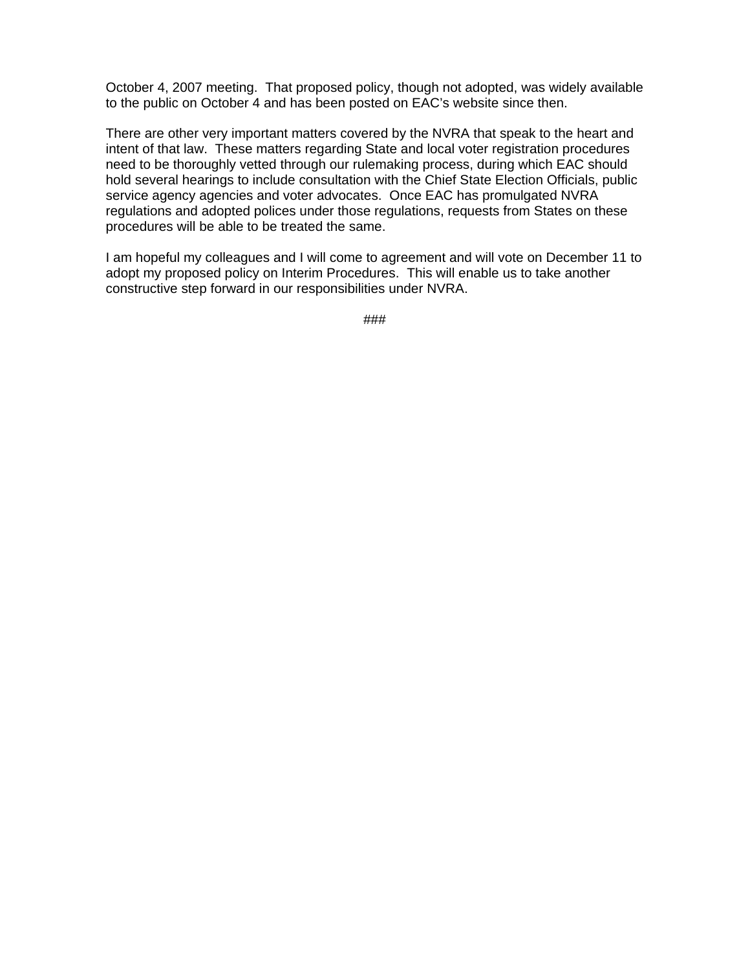October 4, 2007 meeting. That proposed policy, though not adopted, was widely available to the public on October 4 and has been posted on EAC's website since then.

There are other very important matters covered by the NVRA that speak to the heart and intent of that law. These matters regarding State and local voter registration procedures need to be thoroughly vetted through our rulemaking process, during which EAC should hold several hearings to include consultation with the Chief State Election Officials, public service agency agencies and voter advocates. Once EAC has promulgated NVRA regulations and adopted polices under those regulations, requests from States on these procedures will be able to be treated the same.

I am hopeful my colleagues and I will come to agreement and will vote on December 11 to adopt my proposed policy on Interim Procedures. This will enable us to take another constructive step forward in our responsibilities under NVRA.

###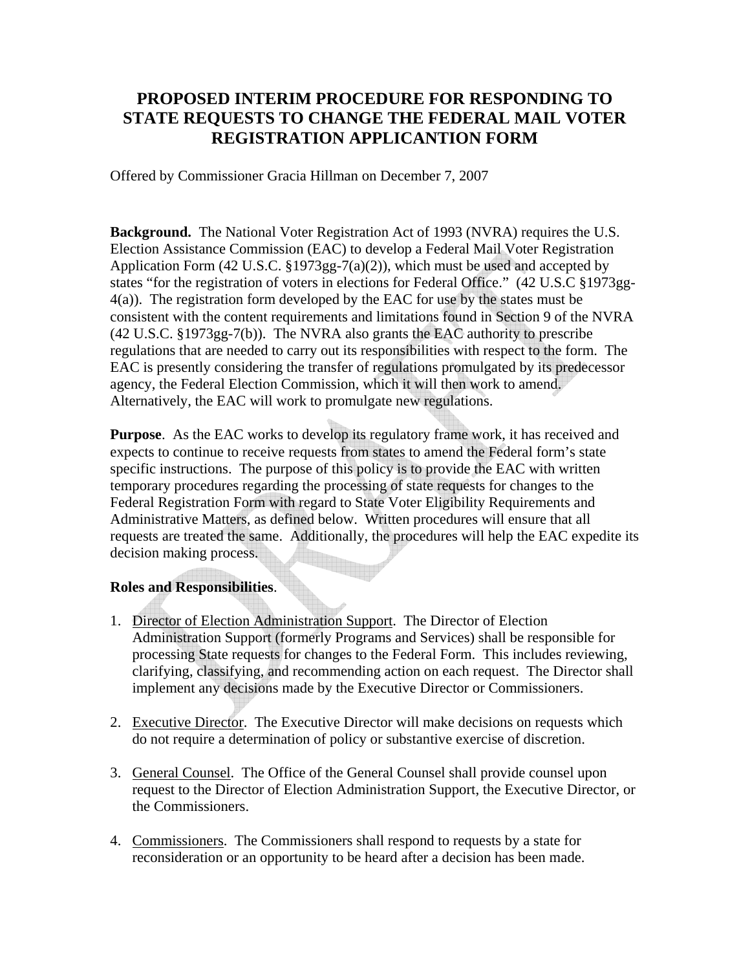## **PROPOSED INTERIM PROCEDURE FOR RESPONDING TO STATE REQUESTS TO CHANGE THE FEDERAL MAIL VOTER REGISTRATION APPLICANTION FORM**

Offered by Commissioner Gracia Hillman on December 7, 2007

**Background.** The National Voter Registration Act of 1993 (NVRA) requires the U.S. Election Assistance Commission (EAC) to develop a Federal Mail Voter Registration Application Form (42 U.S.C. §1973gg-7(a)(2)), which must be used and accepted by states "for the registration of voters in elections for Federal Office." (42 U.S.C §1973gg-4(a)). The registration form developed by the EAC for use by the states must be consistent with the content requirements and limitations found in Section 9 of the NVRA (42 U.S.C. §1973gg-7(b)). The NVRA also grants the EAC authority to prescribe regulations that are needed to carry out its responsibilities with respect to the form. The EAC is presently considering the transfer of regulations promulgated by its predecessor agency, the Federal Election Commission, which it will then work to amend. Alternatively, the EAC will work to promulgate new regulations.

**Purpose**. As the EAC works to develop its regulatory frame work, it has received and expects to continue to receive requests from states to amend the Federal form's state specific instructions. The purpose of this policy is to provide the EAC with written temporary procedures regarding the processing of state requests for changes to the Federal Registration Form with regard to State Voter Eligibility Requirements and Administrative Matters, as defined below. Written procedures will ensure that all requests are treated the same. Additionally, the procedures will help the EAC expedite its decision making process.

## **Roles and Responsibilities**.

- 1. Director of Election Administration Support. The Director of Election Administration Support (formerly Programs and Services) shall be responsible for processing State requests for changes to the Federal Form. This includes reviewing, clarifying, classifying, and recommending action on each request. The Director shall implement any decisions made by the Executive Director or Commissioners.
- 2. Executive Director. The Executive Director will make decisions on requests which do not require a determination of policy or substantive exercise of discretion.
- 3. General Counsel. The Office of the General Counsel shall provide counsel upon request to the Director of Election Administration Support, the Executive Director, or the Commissioners.
- 4. Commissioners. The Commissioners shall respond to requests by a state for reconsideration or an opportunity to be heard after a decision has been made.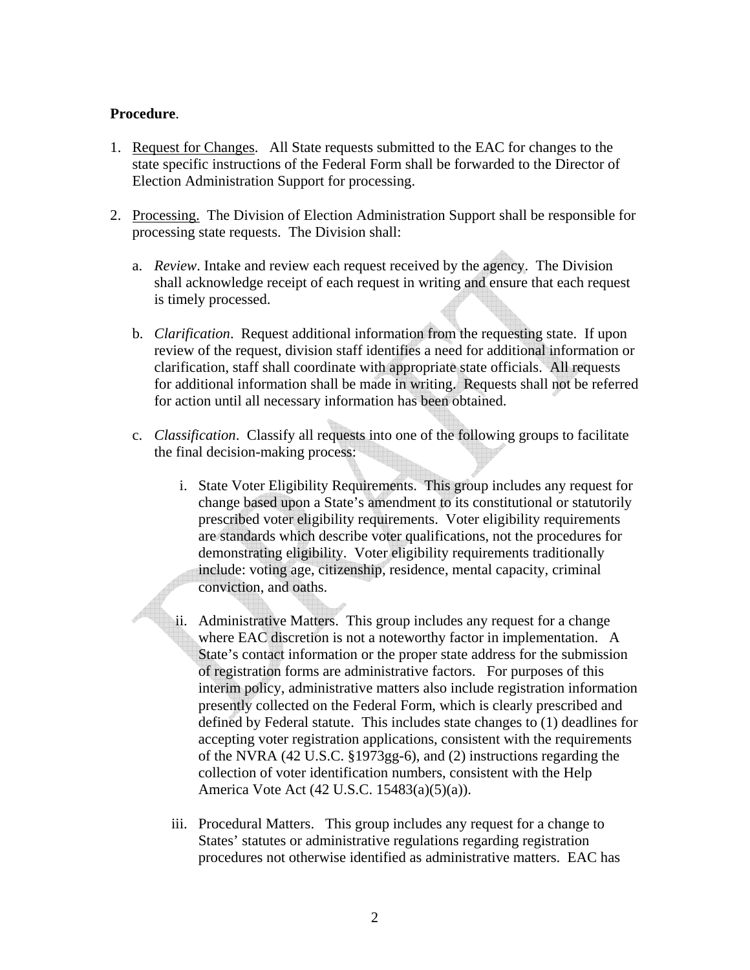## **Procedure**.

- 1. Request for Changes. All State requests submitted to the EAC for changes to the state specific instructions of the Federal Form shall be forwarded to the Director of Election Administration Support for processing.
- 2. Processing. The Division of Election Administration Support shall be responsible for processing state requests. The Division shall:
	- a. *Review*. Intake and review each request received by the agency. The Division shall acknowledge receipt of each request in writing and ensure that each request is timely processed.
	- b. *Clarification*. Request additional information from the requesting state. If upon review of the request, division staff identifies a need for additional information or clarification, staff shall coordinate with appropriate state officials. All requests for additional information shall be made in writing. Requests shall not be referred for action until all necessary information has been obtained.
	- c. *Classification*. Classify all requests into one of the following groups to facilitate the final decision-making process:
		- i. State Voter Eligibility Requirements. This group includes any request for change based upon a State's amendment to its constitutional or statutorily prescribed voter eligibility requirements. Voter eligibility requirements are standards which describe voter qualifications, not the procedures for demonstrating eligibility. Voter eligibility requirements traditionally include: voting age, citizenship, residence, mental capacity, criminal conviction, and oaths.
		- ii. Administrative Matters. This group includes any request for a change where EAC discretion is not a noteworthy factor in implementation. A State's contact information or the proper state address for the submission of registration forms are administrative factors. For purposes of this interim policy, administrative matters also include registration information presently collected on the Federal Form, which is clearly prescribed and defined by Federal statute. This includes state changes to (1) deadlines for accepting voter registration applications, consistent with the requirements of the NVRA (42 U.S.C. §1973gg-6), and (2) instructions regarding the collection of voter identification numbers, consistent with the Help America Vote Act (42 U.S.C. 15483(a)(5)(a)).
		- iii. Procedural Matters. This group includes any request for a change to States' statutes or administrative regulations regarding registration procedures not otherwise identified as administrative matters. EAC has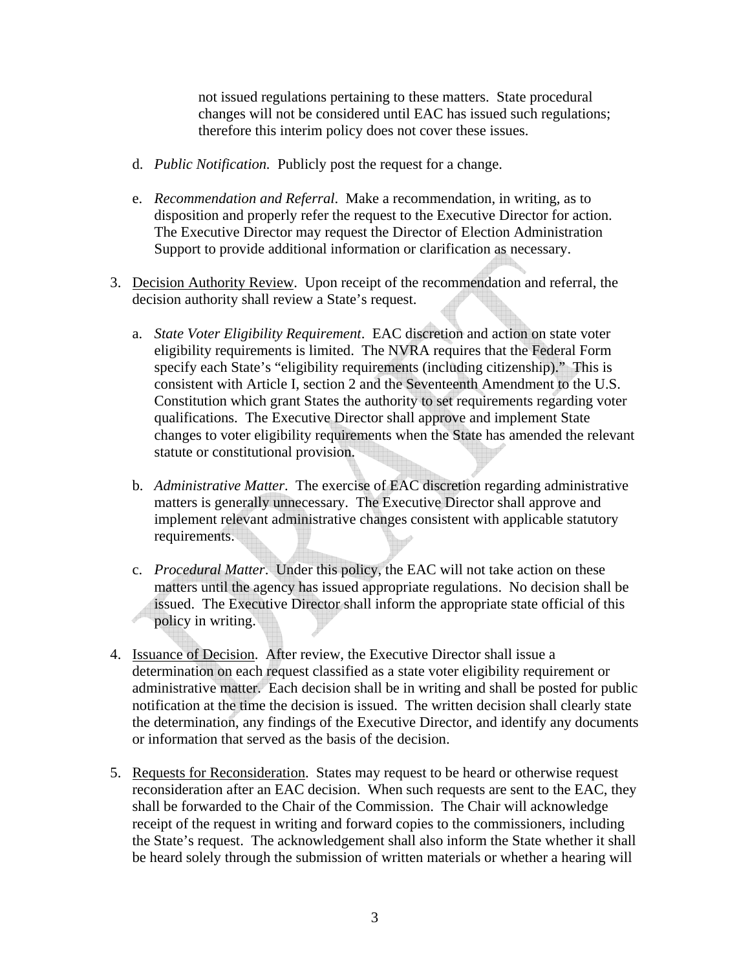not issued regulations pertaining to these matters. State procedural changes will not be considered until EAC has issued such regulations; therefore this interim policy does not cover these issues.

- d. *Public Notification.* Publicly post the request for a change.
- e. *Recommendation and Referral*. Make a recommendation, in writing, as to disposition and properly refer the request to the Executive Director for action. The Executive Director may request the Director of Election Administration Support to provide additional information or clarification as necessary.
- 3. Decision Authority Review. Upon receipt of the recommendation and referral, the decision authority shall review a State's request.
	- a. *State Voter Eligibility Requirement*. EAC discretion and action on state voter eligibility requirements is limited. The NVRA requires that the Federal Form specify each State's "eligibility requirements (including citizenship)." This is consistent with Article I, section 2 and the Seventeenth Amendment to the U.S. Constitution which grant States the authority to set requirements regarding voter qualifications. The Executive Director shall approve and implement State changes to voter eligibility requirements when the State has amended the relevant statute or constitutional provision.
	- b. *Administrative Matter*. The exercise of EAC discretion regarding administrative matters is generally unnecessary. The Executive Director shall approve and implement relevant administrative changes consistent with applicable statutory requirements.
	- c. *Procedural Matter*. Under this policy, the EAC will not take action on these matters until the agency has issued appropriate regulations. No decision shall be issued. The Executive Director shall inform the appropriate state official of this policy in writing.
- 4. Issuance of Decision. After review, the Executive Director shall issue a determination on each request classified as a state voter eligibility requirement or administrative matter. Each decision shall be in writing and shall be posted for public notification at the time the decision is issued. The written decision shall clearly state the determination, any findings of the Executive Director, and identify any documents or information that served as the basis of the decision.
- 5. Requests for Reconsideration. States may request to be heard or otherwise request reconsideration after an EAC decision. When such requests are sent to the EAC, they shall be forwarded to the Chair of the Commission. The Chair will acknowledge receipt of the request in writing and forward copies to the commissioners, including the State's request. The acknowledgement shall also inform the State whether it shall be heard solely through the submission of written materials or whether a hearing will